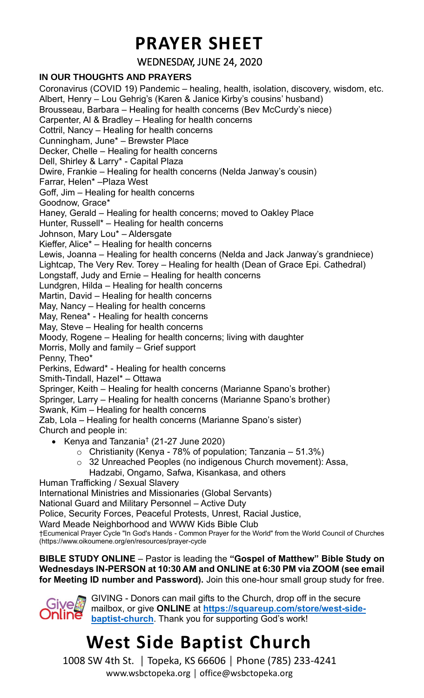### **PRAYER SHEET**

WEDNESDAY, JUNE 24, 2020

#### **IN OUR THOUGHTS AND PRAYERS**

Coronavirus (COVID 19) Pandemic – healing, health, isolation, discovery, wisdom, etc. Albert, Henry – Lou Gehrig's (Karen & Janice Kirby's cousins' husband) Brousseau, Barbara – Healing for health concerns (Bev McCurdy's niece) Carpenter, Al & Bradley – Healing for health concerns Cottril, Nancy – Healing for health concerns Cunningham, June\* – Brewster Place Decker, Chelle – Healing for health concerns Dell, Shirley & Larry\* - Capital Plaza Dwire, Frankie – Healing for health concerns (Nelda Janway's cousin) Farrar, Helen\* –Plaza West Goff, Jim – Healing for health concerns Goodnow, Grace\* Haney, Gerald – Healing for health concerns; moved to Oakley Place Hunter, Russell\* – Healing for health concerns Johnson, Mary Lou\* – Aldersgate Kieffer, Alice\* – Healing for health concerns Lewis, Joanna – Healing for health concerns (Nelda and Jack Janway's grandniece) Lightcap, The Very Rev. Torey – Healing for health (Dean of Grace Epi. Cathedral) Longstaff, Judy and Ernie – Healing for health concerns Lundgren, Hilda – Healing for health concerns Martin, David – Healing for health concerns May, Nancy – Healing for health concerns May, Renea\* - Healing for health concerns May, Steve – Healing for health concerns Moody, Rogene – Healing for health concerns; living with daughter Morris, Molly and family – Grief support Penny, Theo\* Perkins, Edward\* - Healing for health concerns Smith-Tindall, Hazel\* – Ottawa Springer, Keith – Healing for health concerns (Marianne Spano's brother) Springer, Larry – Healing for health concerns (Marianne Spano's brother) Swank, Kim – Healing for health concerns Zab, Lola – Healing for health concerns (Marianne Spano's sister) Church and people in: • Kenya and Tanzania† (21-27 June 2020)  $\circ$  Christianity (Kenya - 78% of population; Tanzania – 51.3%) o 32 Unreached Peoples (no indigenous Church movement): Assa, Hadzabi, Ongamo, Safwa, Kisankasa, and others Human Trafficking / Sexual Slavery International Ministries and Missionaries (Global Servants)

National Guard and Military Personnel – Active Duty

Police, Security Forces, Peaceful Protests, Unrest, Racial Justice,

Ward Meade Neighborhood and WWW Kids Bible Club

†Ecumenical Prayer Cycle "In God's Hands - Common Prayer for the World" from the World Council of Churches (https://www.oikoumene.org/en/resources/prayer-cycle

#### **BIBLE STUDY ONLINE** – Pastor is leading the **"Gospel of Matthew" Bible Study on Wednesdays IN-PERSON at 10:30 AM and ONLINE at 6:30 PM via ZOOM (see email for Meeting ID number and Password).** Join this one-hour small group study for free.



### **West Side Baptist Church**

1008 SW 4th St. │ Topeka, KS 66606 │ Phone (785) 233-4241 www.wsbctopeka.org │ office@wsbctopeka.org